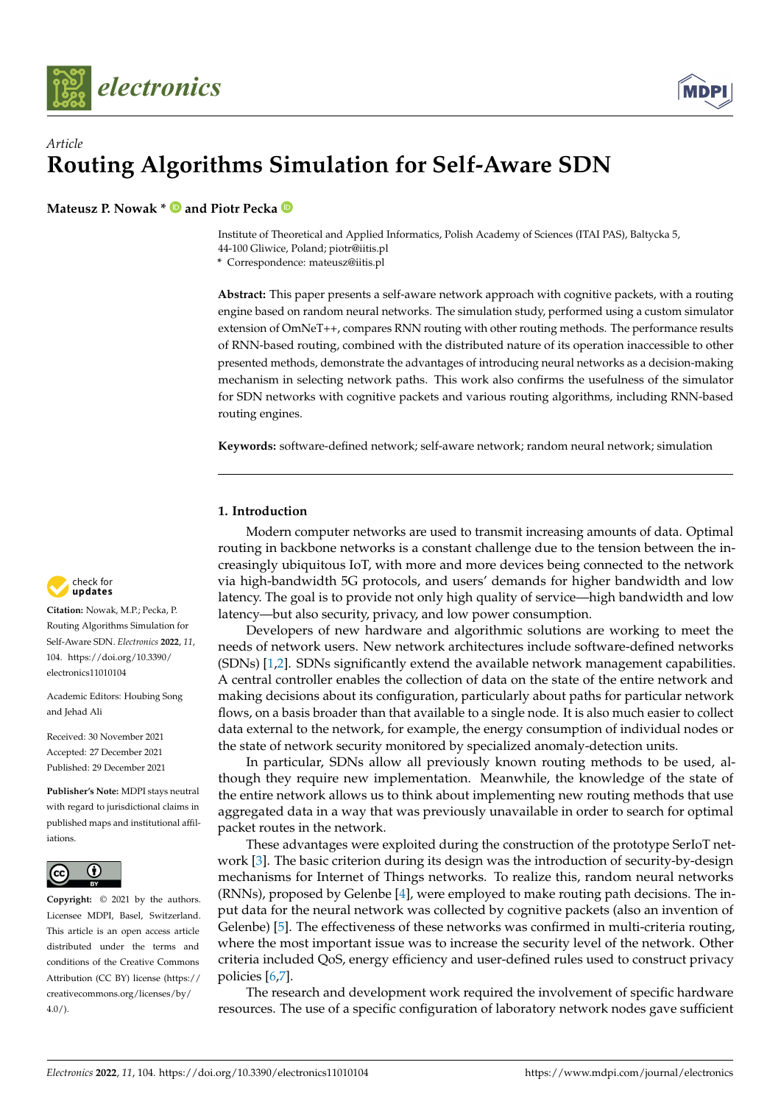



# *Article* **Routing Algorithms Simulation for Self-Aware SDN**

**Mateusz P. Nowak \* D** and Piotr Pecka **D** 

Institute of Theoretical and Applied Informatics, Polish Academy of Sciences (ITAI PAS), Baltycka 5, 44-100 Gliwice, Poland; piotr@iitis.pl

**\*** Correspondence: mateusz@iitis.pl

**Abstract:** This paper presents a self-aware network approach with cognitive packets, with a routing engine based on random neural networks. The simulation study, performed using a custom simulator extension of OmNeT++, compares RNN routing with other routing methods. The performance results of RNN-based routing, combined with the distributed nature of its operation inaccessible to other presented methods, demonstrate the advantages of introducing neural networks as a decision-making mechanism in selecting network paths. This work also confirms the usefulness of the simulator for SDN networks with cognitive packets and various routing algorithms, including RNN-based routing engines.

**Keywords:** software-defined network; self-aware network; random neural network; simulation

# **1. Introduction**

Modern computer networks are used to transmit increasing amounts of data. Optimal routing in backbone networks is a constant challenge due to the tension between the increasingly ubiquitous IoT, with more and more devices being connected to the network via high-bandwidth 5G protocols, and users' demands for higher bandwidth and low latency. The goal is to provide not only high quality of service—high bandwidth and low latency—but also security, privacy, and low power consumption.

Developers of new hardware and algorithmic solutions are working to meet the needs of network users. New network architectures include software-defined networks (SDNs) [\[1](#page-14-0)[,2\]](#page-14-1). SDNs significantly extend the available network management capabilities. A central controller enables the collection of data on the state of the entire network and making decisions about its configuration, particularly about paths for particular network flows, on a basis broader than that available to a single node. It is also much easier to collect data external to the network, for example, the energy consumption of individual nodes or the state of network security monitored by specialized anomaly-detection units.

In particular, SDNs allow all previously known routing methods to be used, although they require new implementation. Meanwhile, the knowledge of the state of the entire network allows us to think about implementing new routing methods that use aggregated data in a way that was previously unavailable in order to search for optimal packet routes in the network.

These advantages were exploited during the construction of the prototype SerIoT network [\[3\]](#page-14-2). The basic criterion during its design was the introduction of security-by-design mechanisms for Internet of Things networks. To realize this, random neural networks (RNNs), proposed by Gelenbe [\[4\]](#page-14-3), were employed to make routing path decisions. The input data for the neural network was collected by cognitive packets (also an invention of Gelenbe) [\[5\]](#page-14-4). The effectiveness of these networks was confirmed in multi-criteria routing, where the most important issue was to increase the security level of the network. Other criteria included QoS, energy efficiency and user-defined rules used to construct privacy policies [\[6](#page-14-5)[,7\]](#page-14-6).

The research and development work required the involvement of specific hardware resources. The use of a specific configuration of laboratory network nodes gave sufficient



**Citation:** Nowak, M.P.; Pecka, P. Routing Algorithms Simulation for Self-Aware SDN. *Electronics* **2022**, *11*, 104. [https://doi.org/10.3390/](https://doi.org/10.3390/electronics11010104) [electronics11010104](https://doi.org/10.3390/electronics11010104)

Academic Editors: Houbing Song and Jehad Ali

Received: 30 November 2021 Accepted: 27 December 2021 Published: 29 December 2021

**Publisher's Note:** MDPI stays neutral with regard to jurisdictional claims in published maps and institutional affiliations.



**Copyright:** © 2021 by the authors. Licensee MDPI, Basel, Switzerland. This article is an open access article distributed under the terms and conditions of the Creative Commons Attribution (CC BY) license [\(https://](https://creativecommons.org/licenses/by/4.0/) [creativecommons.org/licenses/by/](https://creativecommons.org/licenses/by/4.0/)  $4.0/$ ).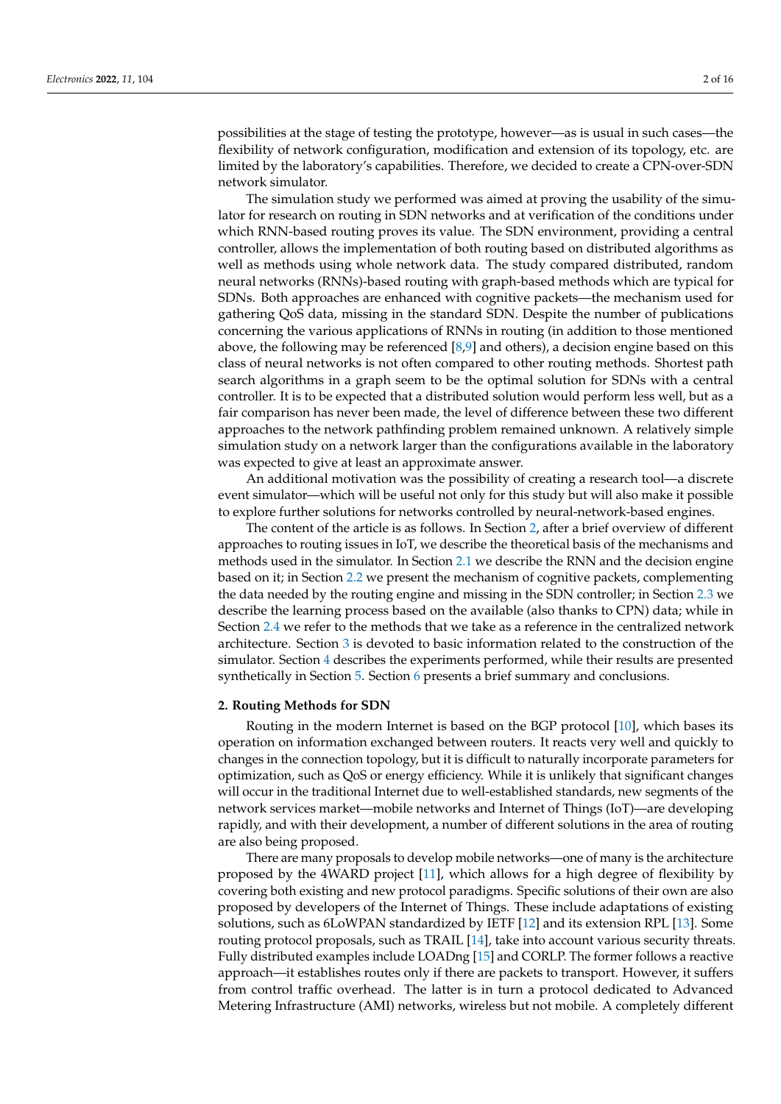possibilities at the stage of testing the prototype, however—as is usual in such cases—the flexibility of network configuration, modification and extension of its topology, etc. are limited by the laboratory's capabilities. Therefore, we decided to create a CPN-over-SDN network simulator.

The simulation study we performed was aimed at proving the usability of the simulator for research on routing in SDN networks and at verification of the conditions under which RNN-based routing proves its value. The SDN environment, providing a central controller, allows the implementation of both routing based on distributed algorithms as well as methods using whole network data. The study compared distributed, random neural networks (RNNs)-based routing with graph-based methods which are typical for SDNs. Both approaches are enhanced with cognitive packets—the mechanism used for gathering QoS data, missing in the standard SDN. Despite the number of publications concerning the various applications of RNNs in routing (in addition to those mentioned above, the following may be referenced [\[8](#page-14-7)[,9\]](#page-14-8) and others), a decision engine based on this class of neural networks is not often compared to other routing methods. Shortest path search algorithms in a graph seem to be the optimal solution for SDNs with a central controller. It is to be expected that a distributed solution would perform less well, but as a fair comparison has never been made, the level of difference between these two different approaches to the network pathfinding problem remained unknown. A relatively simple simulation study on a network larger than the configurations available in the laboratory was expected to give at least an approximate answer.

An additional motivation was the possibility of creating a research tool—a discrete event simulator—which will be useful not only for this study but will also make it possible to explore further solutions for networks controlled by neural-network-based engines.

The content of the article is as follows. In Section [2,](#page-1-0) after a brief overview of different approaches to routing issues in IoT, we describe the theoretical basis of the mechanisms and methods used in the simulator. In Section [2.1](#page-2-0) we describe the RNN and the decision engine based on it; in Section [2.2](#page-2-1) we present the mechanism of cognitive packets, complementing the data needed by the routing engine and missing in the SDN controller; in Section [2.3](#page-3-0) we describe the learning process based on the available (also thanks to CPN) data; while in Section [2.4](#page-4-0) we refer to the methods that we take as a reference in the centralized network architecture. Section [3](#page-6-0) is devoted to basic information related to the construction of the simulator. Section [4](#page-8-0) describes the experiments performed, while their results are presented synthetically in Section [5.](#page-8-1) Section [6](#page-9-0) presents a brief summary and conclusions.

#### <span id="page-1-0"></span>**2. Routing Methods for SDN**

Routing in the modern Internet is based on the BGP protocol [\[10\]](#page-14-9), which bases its operation on information exchanged between routers. It reacts very well and quickly to changes in the connection topology, but it is difficult to naturally incorporate parameters for optimization, such as QoS or energy efficiency. While it is unlikely that significant changes will occur in the traditional Internet due to well-established standards, new segments of the network services market—mobile networks and Internet of Things (IoT)—are developing rapidly, and with their development, a number of different solutions in the area of routing are also being proposed.

There are many proposals to develop mobile networks—one of many is the architecture proposed by the 4WARD project [\[11\]](#page-14-10), which allows for a high degree of flexibility by covering both existing and new protocol paradigms. Specific solutions of their own are also proposed by developers of the Internet of Things. These include adaptations of existing solutions, such as 6LoWPAN standardized by IETF [\[12\]](#page-14-11) and its extension RPL [\[13\]](#page-14-12). Some routing protocol proposals, such as TRAIL [\[14\]](#page-14-13), take into account various security threats. Fully distributed examples include LOADng [\[15\]](#page-14-14) and CORLP. The former follows a reactive approach—it establishes routes only if there are packets to transport. However, it suffers from control traffic overhead. The latter is in turn a protocol dedicated to Advanced Metering Infrastructure (AMI) networks, wireless but not mobile. A completely different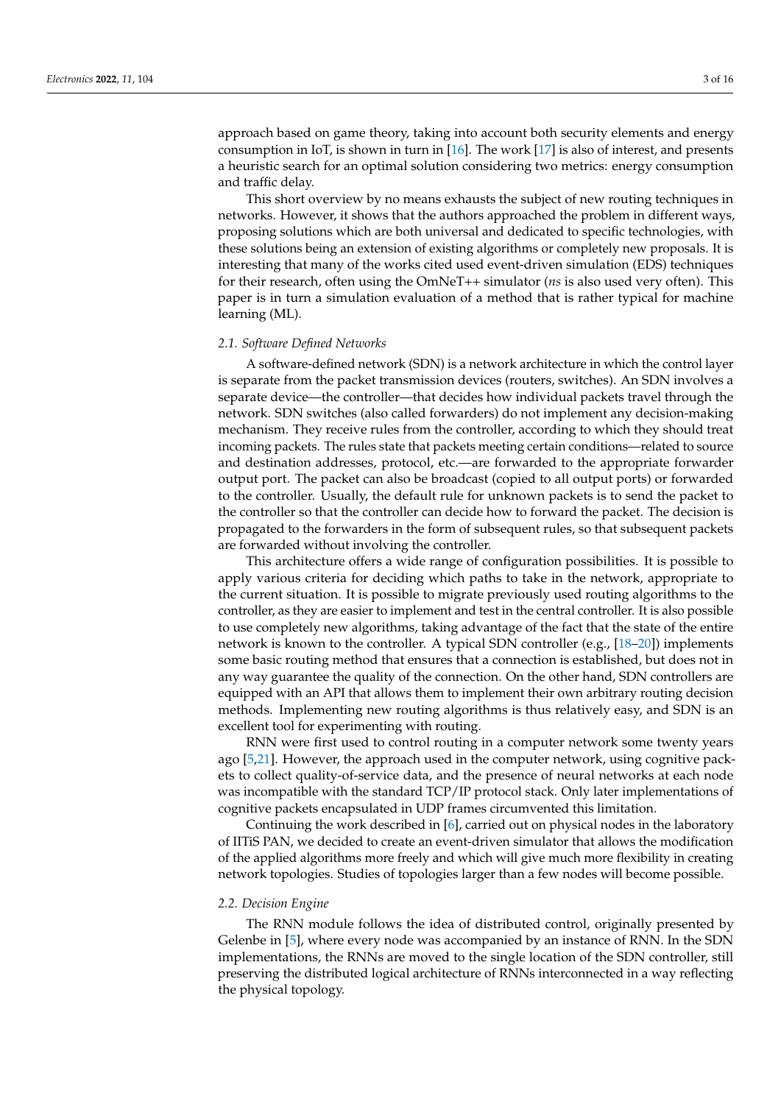approach based on game theory, taking into account both security elements and energy consumption in IoT, is shown in turn in  $[16]$ . The work  $[17]$  is also of interest, and presents a heuristic search for an optimal solution considering two metrics: energy consumption and traffic delay.

This short overview by no means exhausts the subject of new routing techniques in networks. However, it shows that the authors approached the problem in different ways, proposing solutions which are both universal and dedicated to specific technologies, with these solutions being an extension of existing algorithms or completely new proposals. It is interesting that many of the works cited used event-driven simulation (EDS) techniques for their research, often using the OmNeT++ simulator (*ns* is also used very often). This paper is in turn a simulation evaluation of a method that is rather typical for machine learning (ML).

#### <span id="page-2-0"></span>*2.1. Software Defined Networks*

A software-defined network (SDN) is a network architecture in which the control layer is separate from the packet transmission devices (routers, switches). An SDN involves a separate device—the controller—that decides how individual packets travel through the network. SDN switches (also called forwarders) do not implement any decision-making mechanism. They receive rules from the controller, according to which they should treat incoming packets. The rules state that packets meeting certain conditions—related to source and destination addresses, protocol, etc.—are forwarded to the appropriate forwarder output port. The packet can also be broadcast (copied to all output ports) or forwarded to the controller. Usually, the default rule for unknown packets is to send the packet to the controller so that the controller can decide how to forward the packet. The decision is propagated to the forwarders in the form of subsequent rules, so that subsequent packets are forwarded without involving the controller.

This architecture offers a wide range of configuration possibilities. It is possible to apply various criteria for deciding which paths to take in the network, appropriate to the current situation. It is possible to migrate previously used routing algorithms to the controller, as they are easier to implement and test in the central controller. It is also possible to use completely new algorithms, taking advantage of the fact that the state of the entire network is known to the controller. A typical SDN controller (e.g.,  $[18-20]$  $[18-20]$ ) implements some basic routing method that ensures that a connection is established, but does not in any way guarantee the quality of the connection. On the other hand, SDN controllers are equipped with an API that allows them to implement their own arbitrary routing decision methods. Implementing new routing algorithms is thus relatively easy, and SDN is an excellent tool for experimenting with routing.

RNN were first used to control routing in a computer network some twenty years ago [\[5,](#page-14-4)[21\]](#page-15-0). However, the approach used in the computer network, using cognitive packets to collect quality-of-service data, and the presence of neural networks at each node was incompatible with the standard TCP/IP protocol stack. Only later implementations of cognitive packets encapsulated in UDP frames circumvented this limitation.

Continuing the work described in [\[6\]](#page-14-5), carried out on physical nodes in the laboratory of IITiS PAN, we decided to create an event-driven simulator that allows the modification of the applied algorithms more freely and which will give much more flexibility in creating network topologies. Studies of topologies larger than a few nodes will become possible.

#### <span id="page-2-1"></span>*2.2. Decision Engine*

The RNN module follows the idea of distributed control, originally presented by Gelenbe in [\[5\]](#page-14-4), where every node was accompanied by an instance of RNN. In the SDN implementations, the RNNs are moved to the single location of the SDN controller, still preserving the distributed logical architecture of RNNs interconnected in a way reflecting the physical topology.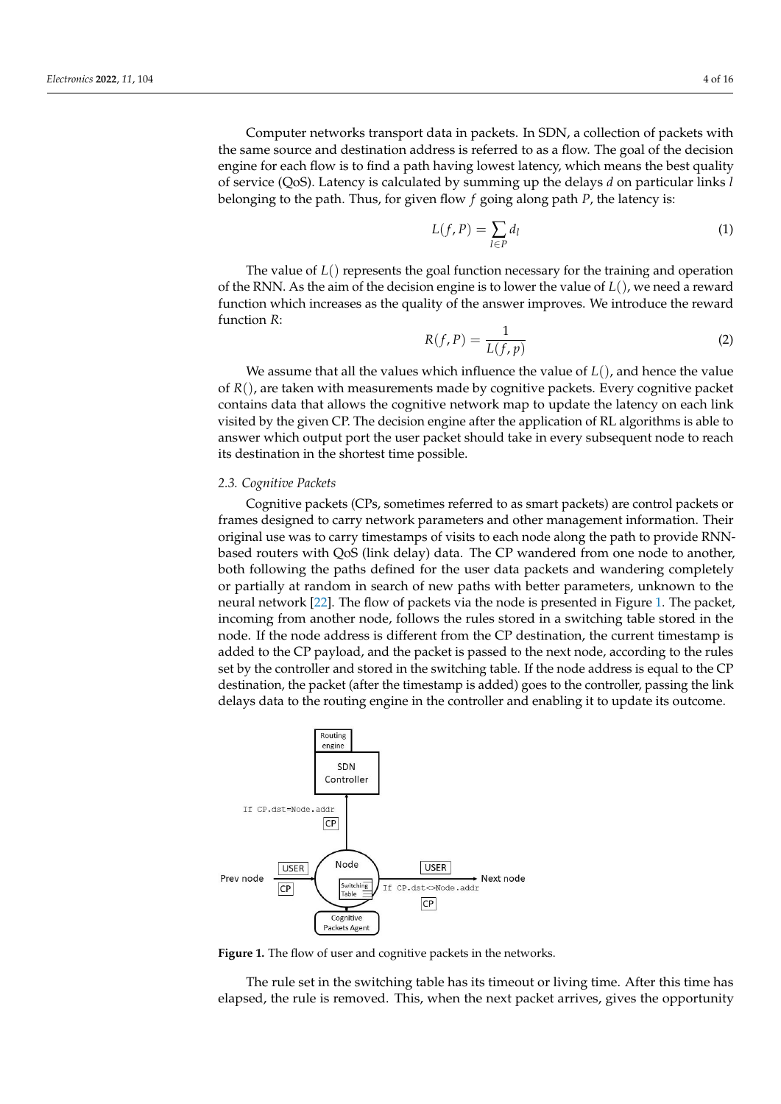Computer networks transport data in packets. In SDN, a collection of packets with the same source and destination address is referred to as a flow. The goal of the decision engine for each flow is to find a path having lowest latency, which means the best quality of service (QoS). Latency is calculated by summing up the delays *d* on particular links *l* belonging to the path. Thus, for given flow *f* going along path *P*, the latency is:

$$
L(f, P) = \sum_{l \in P} d_l \tag{1}
$$

The value of *L*() represents the goal function necessary for the training and operation of the RNN. As the aim of the decision engine is to lower the value of *L*(), we need a reward function which increases as the quality of the answer improves. We introduce the reward function *R*:

$$
R(f, P) = \frac{1}{L(f, p)}
$$
\n(2)

We assume that all the values which influence the value of *L*(), and hence the value of *R*(), are taken with measurements made by cognitive packets. Every cognitive packet contains data that allows the cognitive network map to update the latency on each link visited by the given CP. The decision engine after the application of RL algorithms is able to answer which output port the user packet should take in every subsequent node to reach its destination in the shortest time possible.

#### <span id="page-3-0"></span>*2.3. Cognitive Packets*

Cognitive packets (CPs, sometimes referred to as smart packets) are control packets or frames designed to carry network parameters and other management information. Their original use was to carry timestamps of visits to each node along the path to provide RNNbased routers with QoS (link delay) data. The CP wandered from one node to another, both following the paths defined for the user data packets and wandering completely or partially at random in search of new paths with better parameters, unknown to the neural network [\[22\]](#page-15-1). The flow of packets via the node is presented in Figure [1.](#page-3-1) The packet, incoming from another node, follows the rules stored in a switching table stored in the node. If the node address is different from the CP destination, the current timestamp is added to the CP payload, and the packet is passed to the next node, according to the rules set by the controller and stored in the switching table. If the node address is equal to the CP destination, the packet (after the timestamp is added) goes to the controller, passing the link delays data to the routing engine in the controller and enabling it to update its outcome.

<span id="page-3-1"></span>

**Figure 1.** The flow of user and cognitive packets in the networks.

The rule set in the switching table has its timeout or living time. After this time has elapsed, the rule is removed. This, when the next packet arrives, gives the opportunity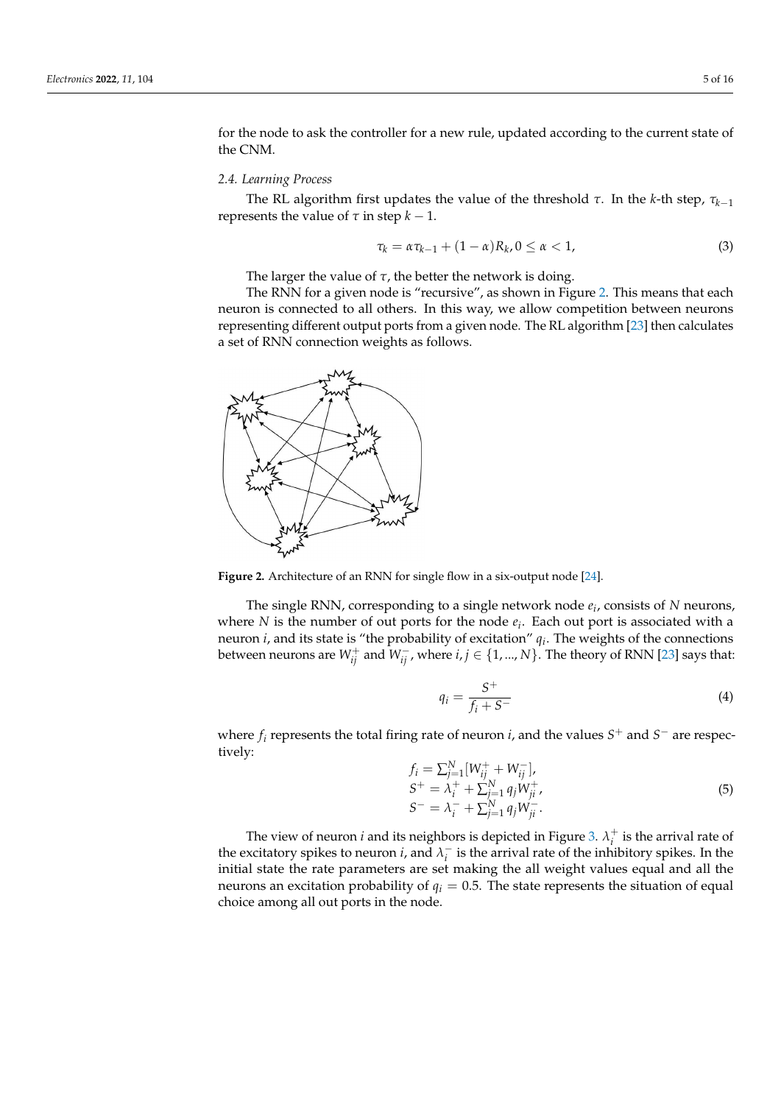for the node to ask the controller for a new rule, updated according to the current state of the CNM.

#### <span id="page-4-0"></span>*2.4. Learning Process*

The RL algorithm first updates the value of the threshold *τ*. In the *k*-th step, *τk*−<sup>1</sup> represents the value of  $τ$  in step  $k - 1$ .

<span id="page-4-3"></span>
$$
\tau_k = \alpha \tau_{k-1} + (1 - \alpha) R_k, 0 \le \alpha < 1,\tag{3}
$$

The larger the value of  $\tau$ , the better the network is doing.

The RNN for a given node is "recursive", as shown in Figure [2.](#page-4-1) This means that each neuron is connected to all others. In this way, we allow competition between neurons representing different output ports from a given node. The RL algorithm [\[23\]](#page-15-2) then calculates a set of RNN connection weights as follows.

<span id="page-4-1"></span>

**Figure 2.** Architecture of an RNN for single flow in a six-output node [\[24\]](#page-15-3).

The single RNN, corresponding to a single network node *e<sup>i</sup>* , consists of *N* neurons, where *N* is the number of out ports for the node *e<sup>i</sup>* . Each out port is associated with a neuron *i*, and its state is "the probability of excitation" *q<sup>i</sup>* . The weights of the connections between neurons are  $W_{ij}^+$  and  $W_{ij}^-$ , where  $i,j \in \{1,...,N\}$ . The theory of RNN [\[23\]](#page-15-2) says that:

<span id="page-4-2"></span>
$$
i = \frac{S^+}{f_i + S^-} \tag{4}
$$

where *f<sup>i</sup>* represents the total firing rate of neuron *i*, and the values *S* <sup>+</sup> and *S* <sup>−</sup> are respectively:

*q<sup>i</sup>* =

$$
f_i = \sum_{j=1}^{N} [W_{ij}^+ + W_{ij}^-],
$$
  
\n
$$
S^+ = \lambda_i^+ + \sum_{j=1}^{N} q_j W_{ji}^+,
$$
  
\n
$$
S^- = \lambda_i^- + \sum_{j=1}^{N} q_j W_{ji}^-.
$$
\n(5)

The view of neuron *i* and its neighbors is depicted in Figure [3.](#page-5-0)  $\lambda_i^+$  is the arrival rate of the excitatory spikes to neuron *i*, and  $\lambda_i^ \overline{i}$  is the arrival rate of the inhibitory spikes. In the initial state the rate parameters are set making the all weight values equal and all the neurons an excitation probability of  $q_i = 0.5$ . The state represents the situation of equal choice among all out ports in the node.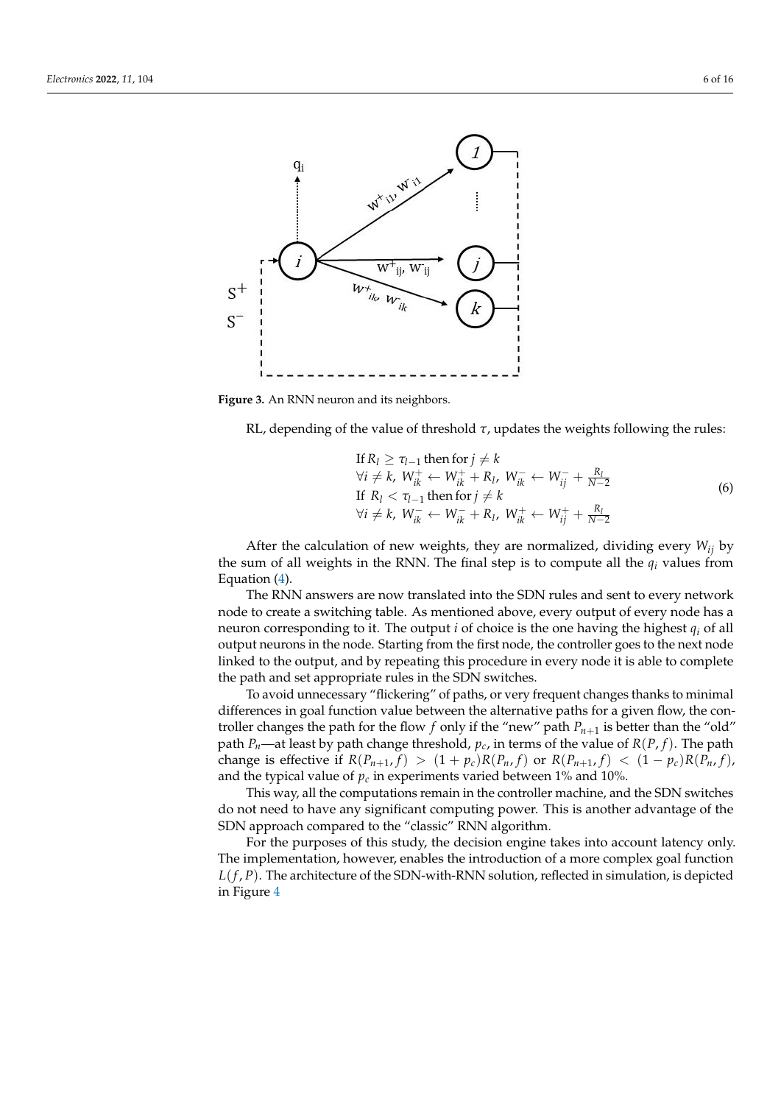<span id="page-5-0"></span>

**Figure 3.** An RNN neuron and its neighbors.

RL, depending of the value of threshold *τ*, updates the weights following the rules:

If 
$$
R_l \ge \tau_{l-1}
$$
 then for  $j \ne k$   
\n $\forall i \ne k, W_{ik}^+ \leftarrow W_{ik}^+ + R_l, W_{ik}^- \leftarrow W_{ij}^- + \frac{R_l}{N-2}$   
\nIf  $R_l < \tau_{l-1}$  then for  $j \ne k$   
\n $\forall i \ne k, W_{ik}^- \leftarrow W_{ik}^- + R_l, W_{ik}^+ \leftarrow W_{ij}^+ + \frac{R_l}{N-2}$  (6)

After the calculation of new weights, they are normalized, dividing every *Wij* by the sum of all weights in the RNN. The final step is to compute all the  $q_i$  values from Equation [\(4\)](#page-4-2).

The RNN answers are now translated into the SDN rules and sent to every network node to create a switching table. As mentioned above, every output of every node has a neuron corresponding to it. The output *i* of choice is the one having the highest *q<sup>i</sup>* of all output neurons in the node. Starting from the first node, the controller goes to the next node linked to the output, and by repeating this procedure in every node it is able to complete the path and set appropriate rules in the SDN switches.

To avoid unnecessary "flickering" of paths, or very frequent changes thanks to minimal differences in goal function value between the alternative paths for a given flow, the controller changes the path for the flow  $f$  only if the "new" path  $P_{n+1}$  is better than the "old" path *P<sub>n</sub>*—at least by path change threshold,  $p_c$ , in terms of the value of  $R(P, f)$ . The path change is effective if  $R(P_{n+1},f) > (1+p_c)R(P_n,f)$  or  $R(P_{n+1},f) < (1-p_c)R(P_n,f)$ , and the typical value of  $p_c$  in experiments varied between 1% and 10%.

This way, all the computations remain in the controller machine, and the SDN switches do not need to have any significant computing power. This is another advantage of the SDN approach compared to the "classic" RNN algorithm.

For the purposes of this study, the decision engine takes into account latency only. The implementation, however, enables the introduction of a more complex goal function *L*(*f* , *P*). The architecture of the SDN-with-RNN solution, reflected in simulation, is depicted in Figure [4](#page-6-1)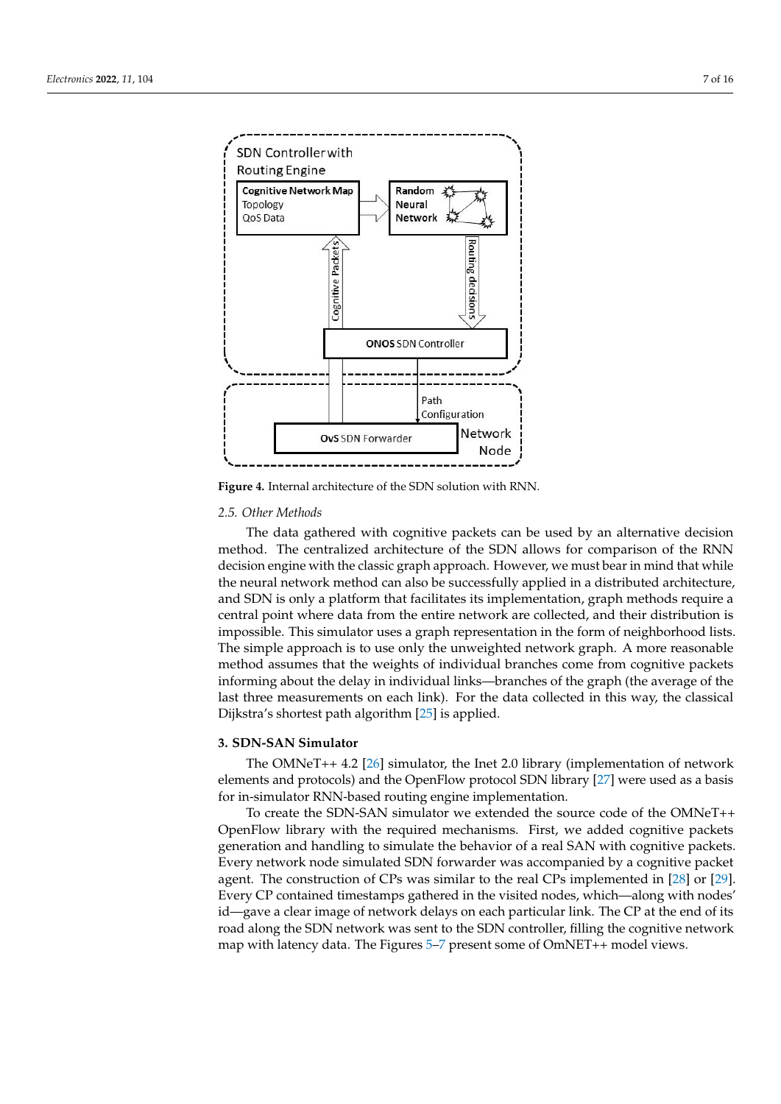<span id="page-6-1"></span>

**Figure 4.** Internal architecture of the SDN solution with RNN.

# *2.5. Other Methods*

The data gathered with cognitive packets can be used by an alternative decision method. The centralized architecture of the SDN allows for comparison of the RNN decision engine with the classic graph approach. However, we must bear in mind that while the neural network method can also be successfully applied in a distributed architecture, and SDN is only a platform that facilitates its implementation, graph methods require a central point where data from the entire network are collected, and their distribution is impossible. This simulator uses a graph representation in the form of neighborhood lists. The simple approach is to use only the unweighted network graph. A more reasonable method assumes that the weights of individual branches come from cognitive packets informing about the delay in individual links—branches of the graph (the average of the last three measurements on each link). For the data collected in this way, the classical Dijkstra's shortest path algorithm [\[25\]](#page-15-4) is applied.

# <span id="page-6-0"></span>**3. SDN-SAN Simulator**

The OMNeT++ 4.2 [\[26\]](#page-15-5) simulator, the Inet 2.0 library (implementation of network elements and protocols) and the OpenFlow protocol SDN library [\[27\]](#page-15-6) were used as a basis for in-simulator RNN-based routing engine implementation.

To create the SDN-SAN simulator we extended the source code of the OMNeT++ OpenFlow library with the required mechanisms. First, we added cognitive packets generation and handling to simulate the behavior of a real SAN with cognitive packets. Every network node simulated SDN forwarder was accompanied by a cognitive packet agent. The construction of CPs was similar to the real CPs implemented in [\[28\]](#page-15-7) or [\[29\]](#page-15-8). Every CP contained timestamps gathered in the visited nodes, which—along with nodes' id—gave a clear image of network delays on each particular link. The CP at the end of its road along the SDN network was sent to the SDN controller, filling the cognitive network map with latency data. The Figures [5–](#page-7-0)[7](#page-7-1) present some of OmNET++ model views.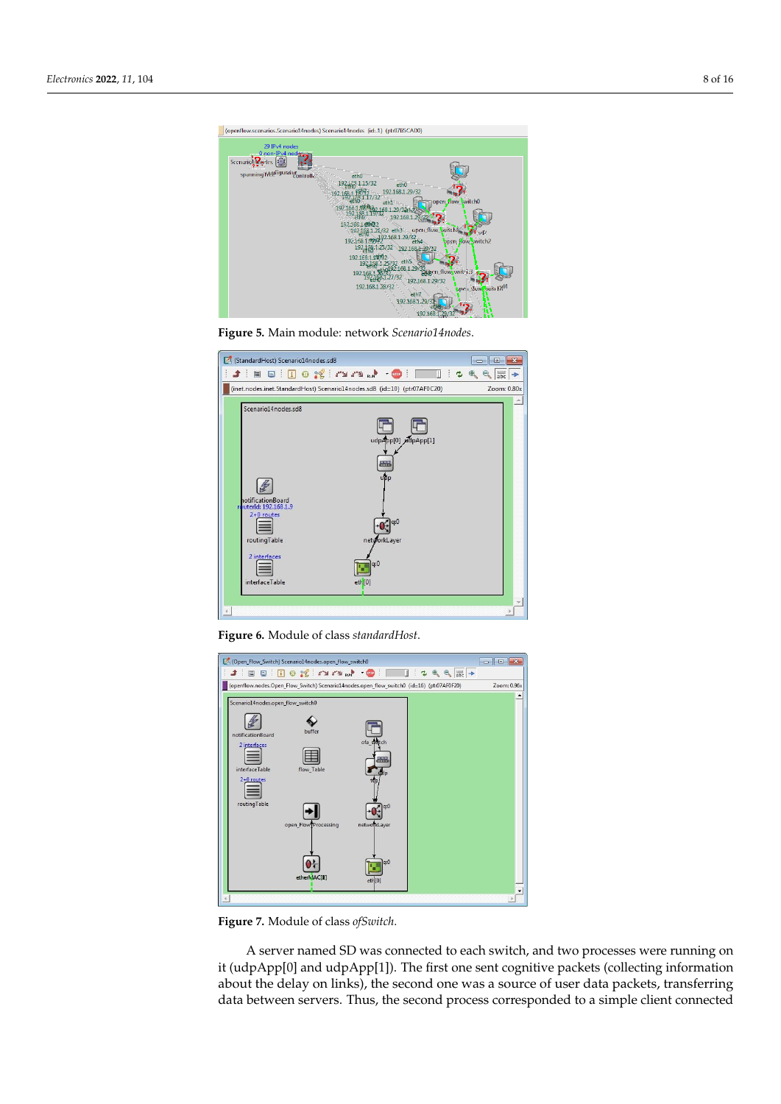<span id="page-7-0"></span>

**Figure 5.** Main module: network *Scenario14nodes*.



<span id="page-7-1"></span>**Figure 6.** Module of class *standardHost*.



**Figure 7.** Module of class *ofSwitch*.

A server named SD was connected to each switch, and two processes were running on it (udpApp[0] and udpApp[1]). The first one sent cognitive packets (collecting information about the delay on links), the second one was a source of user data packets, transferring data between servers. Thus, the second process corresponded to a simple client connected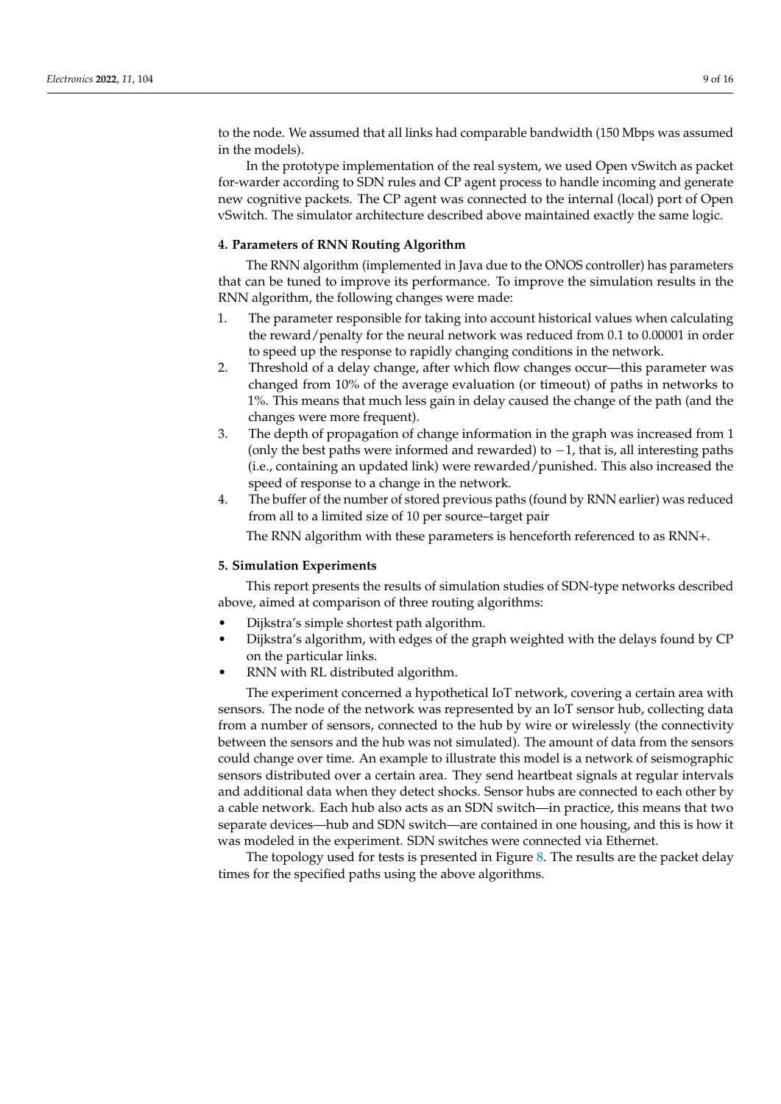to the node. We assumed that all links had comparable bandwidth (150 Mbps was assumed in the models).

In the prototype implementation of the real system, we used Open vSwitch as packet for-warder according to SDN rules and CP agent process to handle incoming and generate new cognitive packets. The CP agent was connected to the internal (local) port of Open vSwitch. The simulator architecture described above maintained exactly the same logic.

#### <span id="page-8-0"></span>**4. Parameters of RNN Routing Algorithm**

The RNN algorithm (implemented in Java due to the ONOS controller) has parameters that can be tuned to improve its performance. To improve the simulation results in the RNN algorithm, the following changes were made:

- 1. The parameter responsible for taking into account historical values when calculating the reward/penalty for the neural network was reduced from 0.1 to 0.00001 in order to speed up the response to rapidly changing conditions in the network.
- 2. Threshold of a delay change, after which flow changes occur—this parameter was changed from 10% of the average evaluation (or timeout) of paths in networks to 1%. This means that much less gain in delay caused the change of the path (and the changes were more frequent).
- 3. The depth of propagation of change information in the graph was increased from 1 (only the best paths were informed and rewarded) to −1, that is, all interesting paths (i.e., containing an updated link) were rewarded/punished. This also increased the speed of response to a change in the network.
- 4. The buffer of the number of stored previous paths (found by RNN earlier) was reduced from all to a limited size of 10 per source–target pair

The RNN algorithm with these parameters is henceforth referenced to as RNN+.

# <span id="page-8-1"></span>**5. Simulation Experiments**

This report presents the results of simulation studies of SDN-type networks described above, aimed at comparison of three routing algorithms:

- Dijkstra's simple shortest path algorithm.
- Dijkstra's algorithm, with edges of the graph weighted with the delays found by CP on the particular links.
- RNN with RL distributed algorithm.

The experiment concerned a hypothetical IoT network, covering a certain area with sensors. The node of the network was represented by an IoT sensor hub, collecting data from a number of sensors, connected to the hub by wire or wirelessly (the connectivity between the sensors and the hub was not simulated). The amount of data from the sensors could change over time. An example to illustrate this model is a network of seismographic sensors distributed over a certain area. They send heartbeat signals at regular intervals and additional data when they detect shocks. Sensor hubs are connected to each other by a cable network. Each hub also acts as an SDN switch—in practice, this means that two separate devices—hub and SDN switch—are contained in one housing, and this is how it was modeled in the experiment. SDN switches were connected via Ethernet.

The topology used for tests is presented in Figure [8.](#page-9-1) The results are the packet delay times for the specified paths using the above algorithms.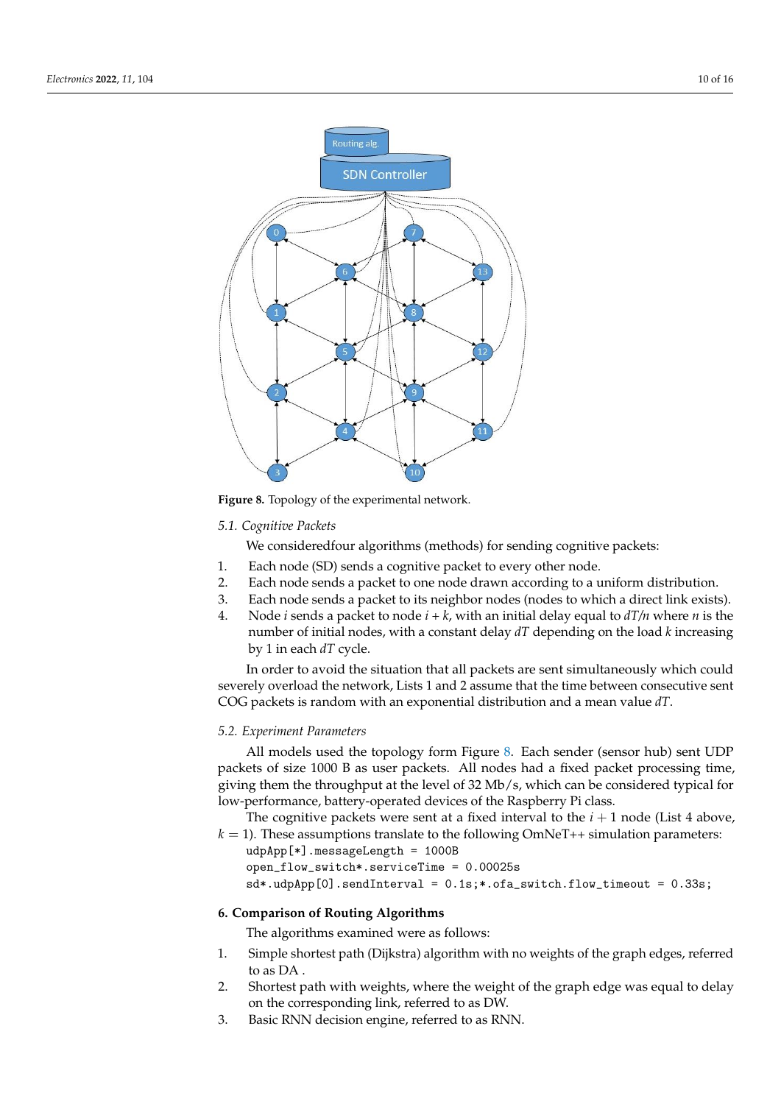<span id="page-9-1"></span>

**Figure 8.** Topology of the experimental network.

# *5.1. Cognitive Packets*

We consideredfour algorithms (methods) for sending cognitive packets:

- 1. Each node (SD) sends a cognitive packet to every other node.
- 2. Each node sends a packet to one node drawn according to a uniform distribution.
- 3. Each node sends a packet to its neighbor nodes (nodes to which a direct link exists).
- 4. Node *i* sends a packet to node *i + k*, with an initial delay equal to *dT/n* where *n* is the number of initial nodes, with a constant delay *dT* depending on the load *k* increasing by 1 in each *dT* cycle.

In order to avoid the situation that all packets are sent simultaneously which could severely overload the network, Lists 1 and 2 assume that the time between consecutive sent COG packets is random with an exponential distribution and a mean value *dT*.

# *5.2. Experiment Parameters*

All models used the topology form Figure [8.](#page-9-1) Each sender (sensor hub) sent UDP packets of size 1000 B as user packets. All nodes had a fixed packet processing time, giving them the throughput at the level of 32 Mb/s, which can be considered typical for low-performance, battery-operated devices of the Raspberry Pi class.

The cognitive packets were sent at a fixed interval to the  $i + 1$  node (List 4 above,  $k = 1$ ). These assumptions translate to the following OmNeT++ simulation parameters:

```
udpApp[*].messageLength = 1000B
open_flow_switch*.serviceTime = 0.00025s
```
sd\*.udpApp[0].sendInterval = 0.1s;\*.ofa\_switch.flow\_timeout = 0.33s;

## <span id="page-9-0"></span>**6. Comparison of Routing Algorithms**

The algorithms examined were as follows:

- 1. Simple shortest path (Dijkstra) algorithm with no weights of the graph edges, referred to as DA .
- 2. Shortest path with weights, where the weight of the graph edge was equal to delay on the corresponding link, referred to as DW.
- 3. Basic RNN decision engine, referred to as RNN.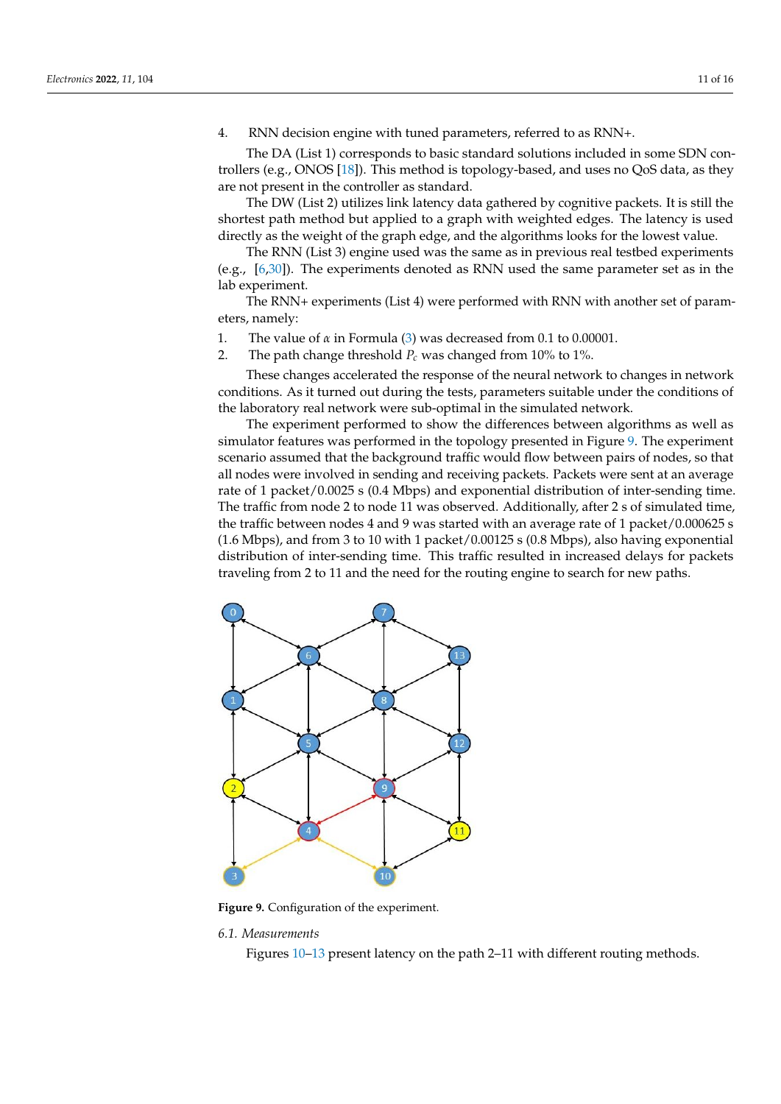4. RNN decision engine with tuned parameters, referred to as RNN+.

The DA (List 1) corresponds to basic standard solutions included in some SDN controllers (e.g., ONOS [\[18\]](#page-14-17)). This method is topology-based, and uses no QoS data, as they are not present in the controller as standard.

The DW (List 2) utilizes link latency data gathered by cognitive packets. It is still the shortest path method but applied to a graph with weighted edges. The latency is used directly as the weight of the graph edge, and the algorithms looks for the lowest value.

The RNN (List 3) engine used was the same as in previous real testbed experiments (e.g., [\[6](#page-14-5)[,30\]](#page-15-9)). The experiments denoted as RNN used the same parameter set as in the lab experiment.

The RNN+ experiments (List 4) were performed with RNN with another set of parameters, namely:

- 1. The value of *α* in Formula [\(3\)](#page-4-3) was decreased from 0.1 to 0.00001.
- 2. The path change threshold  $P_c$  was changed from 10% to 1%.

These changes accelerated the response of the neural network to changes in network conditions. As it turned out during the tests, parameters suitable under the conditions of the laboratory real network were sub-optimal in the simulated network.

The experiment performed to show the differences between algorithms as well as simulator features was performed in the topology presented in Figure [9.](#page-10-0) The experiment scenario assumed that the background traffic would flow between pairs of nodes, so that all nodes were involved in sending and receiving packets. Packets were sent at an average rate of 1 packet/0.0025 s (0.4 Mbps) and exponential distribution of inter-sending time. The traffic from node 2 to node 11 was observed. Additionally, after 2 s of simulated time, the traffic between nodes 4 and 9 was started with an average rate of 1 packet/0.000625 s (1.6 Mbps), and from 3 to 10 with 1 packet/0.00125 s (0.8 Mbps), also having exponential distribution of inter-sending time. This traffic resulted in increased delays for packets traveling from 2 to 11 and the need for the routing engine to search for new paths.

<span id="page-10-0"></span>

**Figure 9.** Configuration of the experiment.

#### *6.1. Measurements*

Figures [10–](#page-11-0)[13](#page-11-1) present latency on the path 2–11 with different routing methods.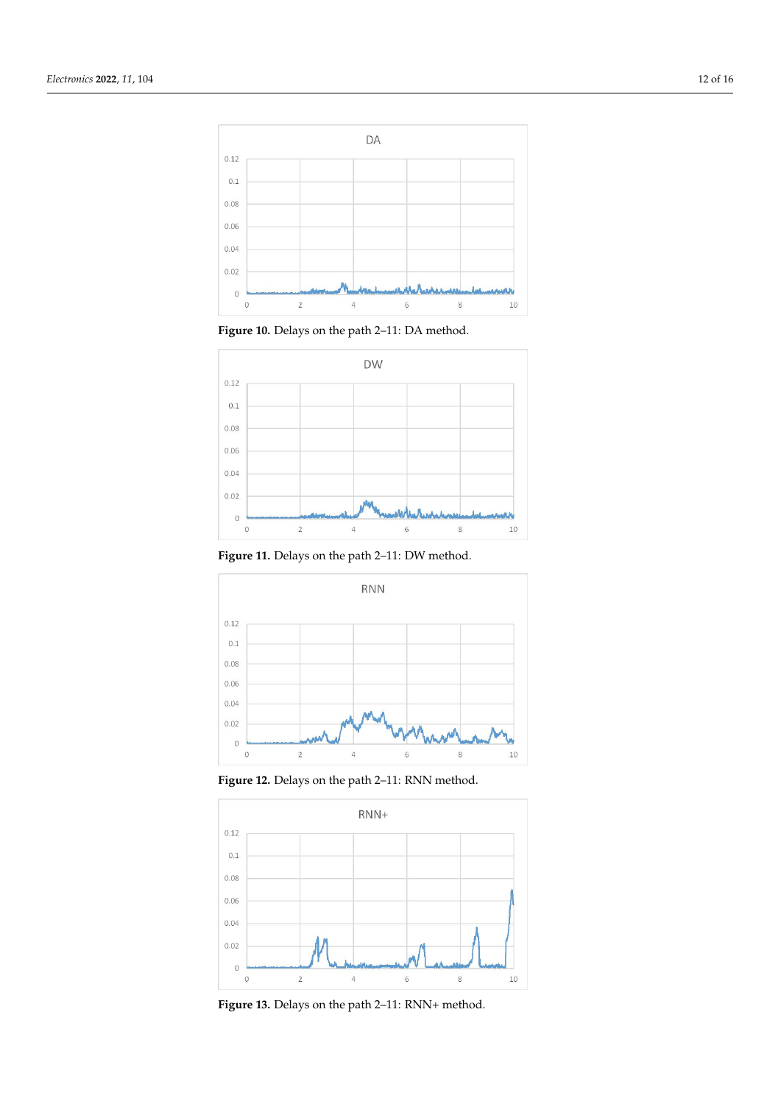<span id="page-11-0"></span>

**Figure 10.** Delays on the path 2–11: DA method.



**Figure 11.** Delays on the path 2–11: DW method.



**Figure 12.** Delays on the path 2–11: RNN method.

<span id="page-11-1"></span>

**Figure 13.** Delays on the path 2–11: RNN+ method.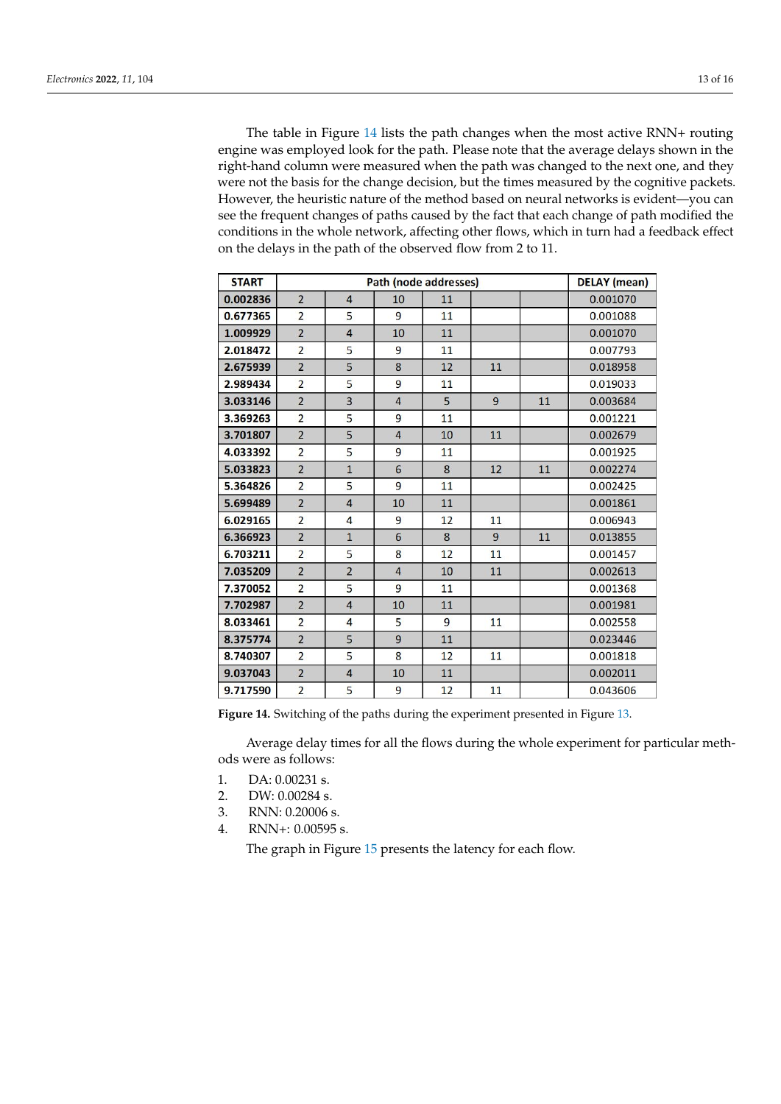The table in Figure [14](#page-12-0) lists the path changes when the most active RNN+ routing engine was employed look for the path. Please note that the average delays shown in the right-hand column were measured when the path was changed to the next one, and they were not the basis for the change decision, but the times measured by the cognitive packets. However, the heuristic nature of the method based on neural networks is evident—you can see the frequent changes of paths caused by the fact that each change of path modified the conditions in the whole network, affecting other flows, which in turn had a feedback effect on the delays in the path of the observed flow from 2 to 11.

<span id="page-12-0"></span>

| <b>START</b> | Path (node addresses) |                |                 |    |    |    | <b>DELAY</b> (mean) |
|--------------|-----------------------|----------------|-----------------|----|----|----|---------------------|
| 0.002836     | $\overline{2}$        | 4              | 10              | 11 |    |    | 0.001070            |
| 0.677365     | $\overline{2}$        | 5              | 9               | 11 |    |    | 0.001088            |
| 1.009929     | $\overline{2}$        | $\overline{4}$ | 10              | 11 |    |    | 0.001070            |
| 2.018472     | $\overline{2}$        | 5              | 9               | 11 |    |    | 0.007793            |
| 2.675939     | $\overline{2}$        | 5              | 8               | 12 | 11 |    | 0.018958            |
| 2.989434     | $\overline{2}$        | 5              | 9               | 11 |    |    | 0.019033            |
| 3.033146     | $\overline{2}$        | 3              | $\overline{4}$  | 5  | 9  | 11 | 0.003684            |
| 3.369263     | $\overline{2}$        | 5              | 9               | 11 |    |    | 0.001221            |
| 3.701807     | $\overline{2}$        | 5              | $\overline{4}$  | 10 | 11 |    | 0.002679            |
| 4.033392     | $\overline{2}$        | 5              | 9               | 11 |    |    | 0.001925            |
| 5.033823     | $\overline{2}$        | $\overline{1}$ | $6\overline{6}$ | 8  | 12 | 11 | 0.002274            |
| 5.364826     | $\overline{2}$        | 5              | 9               | 11 |    |    | 0.002425            |
| 5.699489     | $\overline{2}$        | $\overline{4}$ | 10              | 11 |    |    | 0.001861            |
| 6.029165     | $\overline{2}$        | 4              | 9               | 12 | 11 |    | 0.006943            |
| 6.366923     | $\overline{2}$        | $\overline{1}$ | 6               | 8  | 9  | 11 | 0.013855            |
| 6.703211     | $\overline{2}$        | 5              | 8               | 12 | 11 |    | 0.001457            |
| 7.035209     | $\overline{2}$        | $\overline{2}$ | $\overline{4}$  | 10 | 11 |    | 0.002613            |
| 7.370052     | $\overline{2}$        | 5              | 9               | 11 |    |    | 0.001368            |
| 7.702987     | $\overline{2}$        | 4              | 10              | 11 |    |    | 0.001981            |
| 8.033461     | $\overline{2}$        | 4              | 5               | 9  | 11 |    | 0.002558            |
| 8.375774     | $\overline{2}$        | 5              | 9               | 11 |    |    | 0.023446            |
| 8.740307     | $\overline{2}$        | 5              | 8               | 12 | 11 |    | 0.001818            |
| 9.037043     | $\overline{2}$        | 4              | 10              | 11 |    |    | 0.002011            |
| 9.717590     | $\overline{2}$        | 5              | 9               | 12 | 11 |    | 0.043606            |

**Figure 14.** Switching of the paths during the experiment presented in Figure [13.](#page-11-1)

Average delay times for all the flows during the whole experiment for particular methods were as follows:

- 1. DA: 0.00231 s.
- 2. DW: 0.00284 s.
- 3. RNN: 0.20006 s.
- 4. RNN+: 0.00595 s.

The graph in Figure [15](#page-13-0) presents the latency for each flow.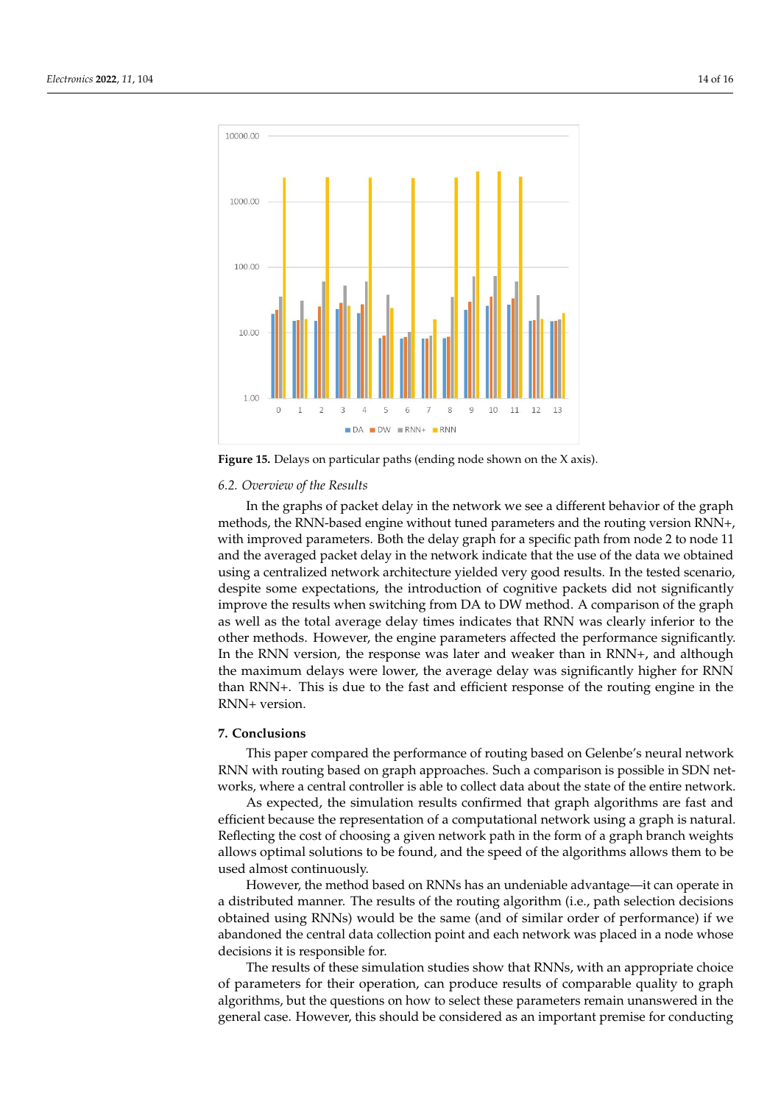<span id="page-13-0"></span>

**Figure 15.** Delays on particular paths (ending node shown on the X axis).

#### *6.2. Overview of the Results*

In the graphs of packet delay in the network we see a different behavior of the graph methods, the RNN-based engine without tuned parameters and the routing version RNN+, with improved parameters. Both the delay graph for a specific path from node 2 to node 11 and the averaged packet delay in the network indicate that the use of the data we obtained using a centralized network architecture yielded very good results. In the tested scenario, despite some expectations, the introduction of cognitive packets did not significantly improve the results when switching from DA to DW method. A comparison of the graph as well as the total average delay times indicates that RNN was clearly inferior to the other methods. However, the engine parameters affected the performance significantly. In the RNN version, the response was later and weaker than in RNN+, and although the maximum delays were lower, the average delay was significantly higher for RNN than RNN+. This is due to the fast and efficient response of the routing engine in the RNN+ version.

# **7. Conclusions**

This paper compared the performance of routing based on Gelenbe's neural network RNN with routing based on graph approaches. Such a comparison is possible in SDN networks, where a central controller is able to collect data about the state of the entire network.

As expected, the simulation results confirmed that graph algorithms are fast and efficient because the representation of a computational network using a graph is natural. Reflecting the cost of choosing a given network path in the form of a graph branch weights allows optimal solutions to be found, and the speed of the algorithms allows them to be used almost continuously.

However, the method based on RNNs has an undeniable advantage—it can operate in a distributed manner. The results of the routing algorithm (i.e., path selection decisions obtained using RNNs) would be the same (and of similar order of performance) if we abandoned the central data collection point and each network was placed in a node whose decisions it is responsible for.

The results of these simulation studies show that RNNs, with an appropriate choice of parameters for their operation, can produce results of comparable quality to graph algorithms, but the questions on how to select these parameters remain unanswered in the general case. However, this should be considered as an important premise for conducting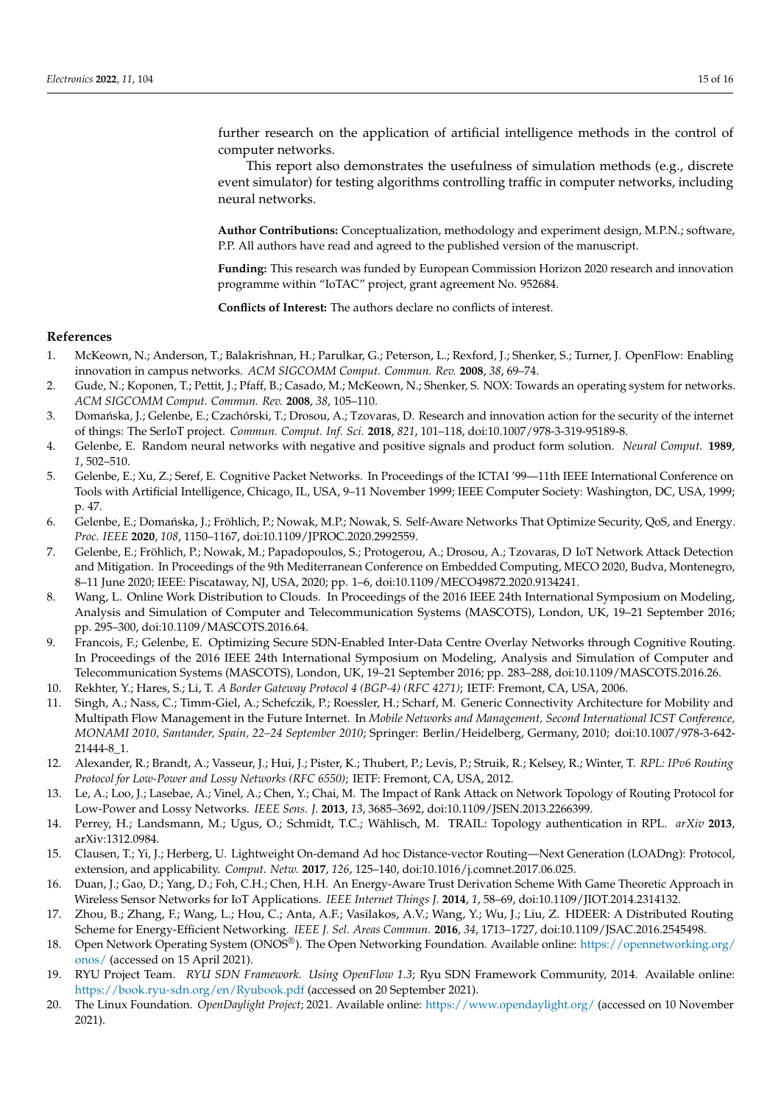further research on the application of artificial intelligence methods in the control of computer networks.

This report also demonstrates the usefulness of simulation methods (e.g., discrete event simulator) for testing algorithms controlling traffic in computer networks, including neural networks.

**Author Contributions:** Conceptualization, methodology and experiment design, M.P.N.; software, P.P. All authors have read and agreed to the published version of the manuscript.

**Funding:** This research was funded by European Commission Horizon 2020 research and innovation programme within "IoTAC" project, grant agreement No. 952684.

**Conflicts of Interest:** The authors declare no conflicts of interest.

## **References**

- <span id="page-14-0"></span>1. McKeown, N.; Anderson, T.; Balakrishnan, H.; Parulkar, G.; Peterson, L.; Rexford, J.; Shenker, S.; Turner, J. OpenFlow: Enabling innovation in campus networks. *ACM SIGCOMM Comput. Commun. Rev.* **2008**, *38*, 69–74.
- <span id="page-14-1"></span>2. Gude, N.; Koponen, T.; Pettit, J.; Pfaff, B.; Casado, M.; McKeown, N.; Shenker, S. NOX: Towards an operating system for networks. *ACM SIGCOMM Comput. Commun. Rev.* **2008**, *38*, 105–110.
- <span id="page-14-2"></span>3. Domańska, J.; Gelenbe, E.; Czachórski, T.; Drosou, A.; Tzovaras, D. Research and innovation action for the security of the internet of things: The SerIoT project. *Commun. Comput. Inf. Sci.* **2018**, *821*, 101–118, doi:10.1007/978-3-319-95189-8.
- <span id="page-14-3"></span>4. Gelenbe, E. Random neural networks with negative and positive signals and product form solution. *Neural Comput.* **1989**, *1*, 502–510.
- <span id="page-14-4"></span>5. Gelenbe, E.; Xu, Z.; Seref, E. Cognitive Packet Networks. In Proceedings of the ICTAI '99—11th IEEE International Conference on Tools with Artificial Intelligence, Chicago, IL, USA, 9–11 November 1999; IEEE Computer Society: Washington, DC, USA, 1999; p. 47.
- <span id="page-14-5"></span>6. Gelenbe, E.; Domańska, J.; Fröhlich, P.; Nowak, M.P.; Nowak, S. Self-Aware Networks That Optimize Security, QoS, and Energy. *Proc. IEEE* **2020**, *108*, 1150–1167, doi:10.1109/JPROC.2020.2992559.
- <span id="page-14-6"></span>7. Gelenbe, E.; Fröhlich, P.; Nowak, M.; Papadopoulos, S.; Protogerou, A.; Drosou, A.; Tzovaras, D IoT Network Attack Detection and Mitigation. In Proceedings of the 9th Mediterranean Conference on Embedded Computing, MECO 2020, Budva, Montenegro, 8–11 June 2020; IEEE: Piscataway, NJ, USA, 2020; pp. 1–6, doi:10.1109/MECO49872.2020.9134241.
- <span id="page-14-7"></span>8. Wang, L. Online Work Distribution to Clouds. In Proceedings of the 2016 IEEE 24th International Symposium on Modeling, Analysis and Simulation of Computer and Telecommunication Systems (MASCOTS), London, UK, 19–21 September 2016; pp. 295–300, doi:10.1109/MASCOTS.2016.64.
- <span id="page-14-8"></span>9. Francois, F.; Gelenbe, E. Optimizing Secure SDN-Enabled Inter-Data Centre Overlay Networks through Cognitive Routing. In Proceedings of the 2016 IEEE 24th International Symposium on Modeling, Analysis and Simulation of Computer and Telecommunication Systems (MASCOTS), London, UK, 19–21 September 2016; pp. 283–288, doi:10.1109/MASCOTS.2016.26.
- <span id="page-14-9"></span>10. Rekhter, Y.; Hares, S.; Li, T. *A Border Gateway Protocol 4 (BGP-4) (RFC 4271)*; IETF: Fremont, CA, USA, 2006.
- <span id="page-14-10"></span>11. Singh, A.; Nass, C.; Timm-Giel, A.; Schefczik, P.; Roessler, H.; Scharf, M. Generic Connectivity Architecture for Mobility and Multipath Flow Management in the Future Internet. In *Mobile Networks and Management, Second International ICST Conference, MONAMI 2010, Santander, Spain, 22–24 September 2010*; Springer: Berlin/Heidelberg, Germany, 2010; doi[:10.1007/978-3-642-](https://doi.org/10.1007/978-3-642-21444-8_1) [21444-8\\_1.](https://doi.org/10.1007/978-3-642-21444-8_1)
- <span id="page-14-11"></span>12. Alexander, R.; Brandt, A.; Vasseur, J.; Hui, J.; Pister, K.; Thubert, P.; Levis, P.; Struik, R.; Kelsey, R.; Winter, T. *RPL: IPv6 Routing Protocol for Low-Power and Lossy Networks (RFC 6550)*; IETF: Fremont, CA, USA, 2012.
- <span id="page-14-12"></span>13. Le, A.; Loo, J.; Lasebae, A.; Vinel, A.; Chen, Y.; Chai, M. The Impact of Rank Attack on Network Topology of Routing Protocol for Low-Power and Lossy Networks. *IEEE Sens. J.* **2013**, *13*, 3685–3692, doi:10.1109/JSEN.2013.2266399.
- <span id="page-14-13"></span>14. Perrey, H.; Landsmann, M.; Ugus, O.; Schmidt, T.C.; Wählisch, M. TRAIL: Topology authentication in RPL. *arXiv* **2013**, arXiv:1312.0984.
- <span id="page-14-14"></span>15. Clausen, T.; Yi, J.; Herberg, U. Lightweight On-demand Ad hoc Distance-vector Routing—Next Generation (LOADng): Protocol, extension, and applicability. *Comput. Netw.* **2017**, *126*, 125–140, doi:10.1016/j.comnet.2017.06.025.
- <span id="page-14-15"></span>16. Duan, J.; Gao, D.; Yang, D.; Foh, C.H.; Chen, H.H. An Energy-Aware Trust Derivation Scheme With Game Theoretic Approach in Wireless Sensor Networks for IoT Applications. *IEEE Internet Things J.* **2014**, *1*, 58–69, doi:10.1109/JIOT.2014.2314132.
- <span id="page-14-16"></span>17. Zhou, B.; Zhang, F.; Wang, L.; Hou, C.; Anta, A.F.; Vasilakos, A.V.; Wang, Y.; Wu, J.; Liu, Z. HDEER: A Distributed Routing Scheme for Energy-Efficient Networking. *IEEE J. Sel. Areas Commun.* **2016**, *34*, 1713–1727, doi:10.1109/JSAC.2016.2545498.
- <span id="page-14-17"></span>18. Open Network Operating System (ONOS®). The Open Networking Foundation. Available online: [https://opennetworking.org/](https://opennetworking.org/onos/) [onos/](https://opennetworking.org/onos/) (accessed on 15 April 2021).
- 19. RYU Project Team. *RYU SDN Framework. Using OpenFlow 1.3*; Ryu SDN Framework Community, 2014. Available online: <https://book.ryu-sdn.org/en/Ryubook.pdf> (accessed on 20 September 2021).
- <span id="page-14-18"></span>20. The Linux Foundation. *OpenDaylight Project*; 2021. Available online: <https://www.opendaylight.org/> (accessed on 10 November 2021).